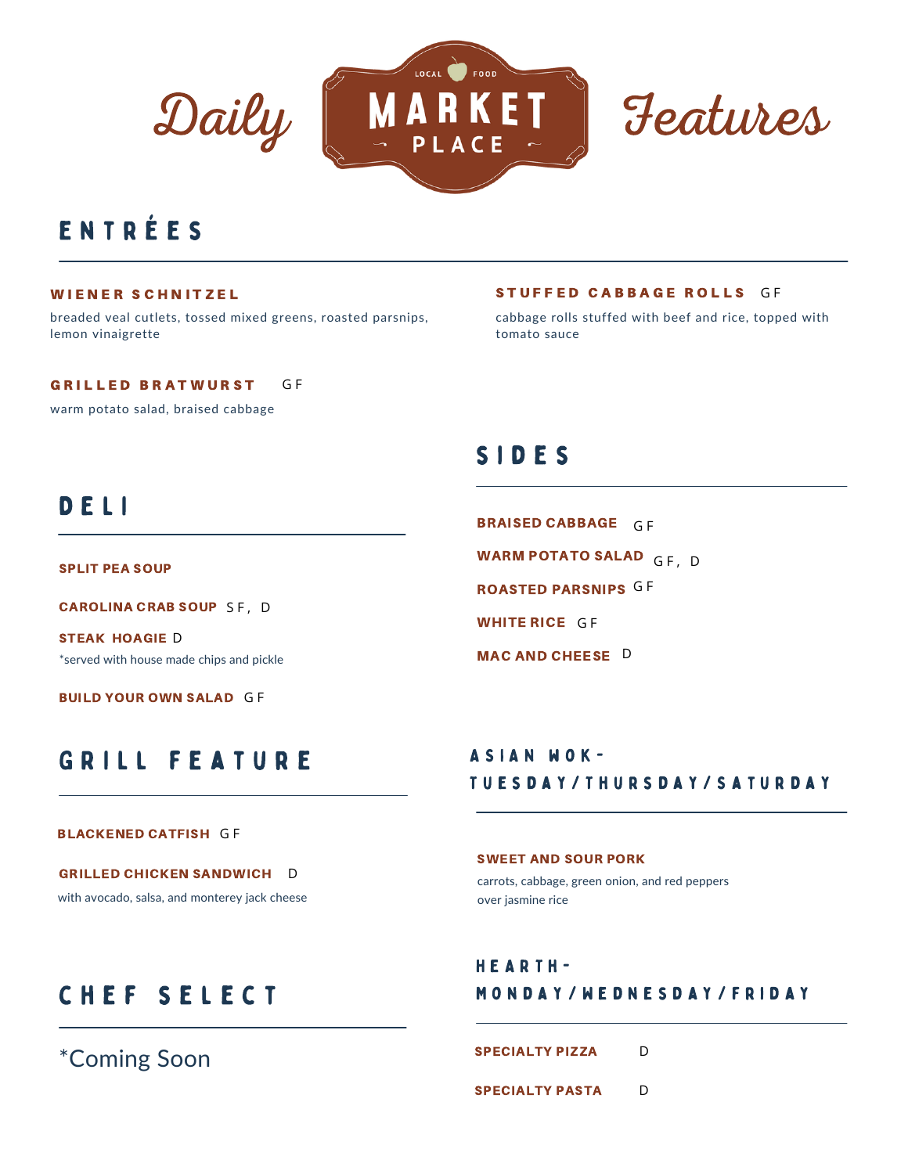



## e n t r é e s

#### WIENER SCHNITZEL

breaded veal cutlets, tossed mixed greens, roasted parsnips, lemon vinaigrette

#### G F GRILLED BRATWURST

warm potato salad, braised cabbage

## D E L I

SPLIT PEA SOUP

CAROLINA CRAB SOUP SF, D

\*served with house made chips and pickle STEAK HOAGIE D

**BUILD YOUR OWN SALAD GF** 

### STUFFED CABBAGE ROLLS GF

cabbage rolls stuffed with beef and rice, topped with tomato sauce

### s i d e s

BRAISED CABBAGE GF WARM POTATO SALAD GF, D ROASTED PARSNIPS G F WHITE RICE GF MAC AND CHEESE D

# GRILL FEATURE

### ASIAN WOK-T u e s d a y / T h u r s d a y / S a t u r d a y

#### BLACKENED CATFISH G F

GRILLED CHICKEN SANDWICH D with avocado, salsa, and monterey jack cheese SWEET AND SOUR PORK carrots, cabbage, green onion, and red peppers over jasmine rice

# CHEF SELECT

\*Coming Soon

### H E A R T h - M o n d a y / W e d n e s d a y / f r i d a y

D SPECIALTY PIZZA

D SPECIALTY PASTA